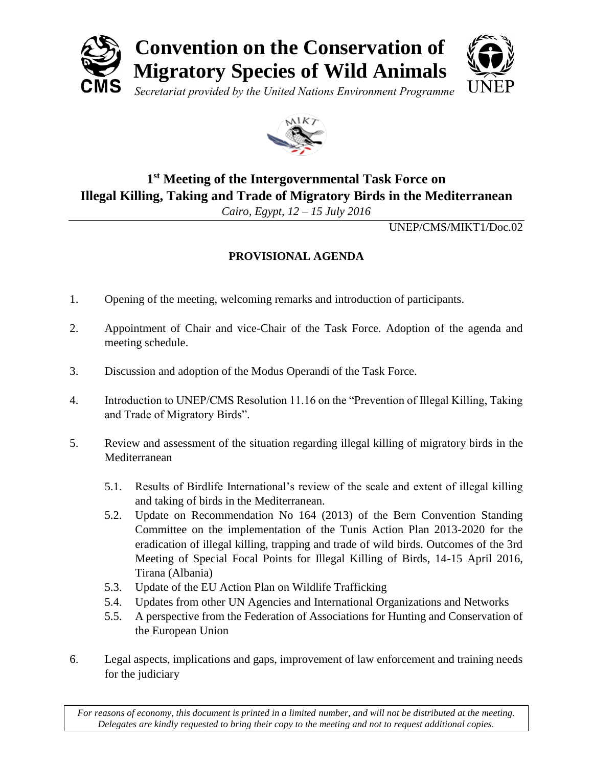



## **1 st Meeting of the Intergovernmental Task Force on Illegal Killing, Taking and Trade of Migratory Birds in the Mediterranean**

*Cairo, Egypt, 12 – 15 July 2016*

UNEP/CMS/MIKT1/Doc.02

## **PROVISIONAL AGENDA**

- 1. Opening of the meeting, welcoming remarks and introduction of participants.
- 2. Appointment of Chair and vice-Chair of the Task Force. Adoption of the agenda and meeting schedule.
- 3. Discussion and adoption of the Modus Operandi of the Task Force.
- 4. Introduction to UNEP/CMS Resolution 11.16 on the "Prevention of Illegal Killing, Taking and Trade of Migratory Birds".
- 5. Review and assessment of the situation regarding illegal killing of migratory birds in the Mediterranean
	- 5.1. Results of Birdlife International's review of the scale and extent of illegal killing and taking of birds in the Mediterranean.
	- 5.2. Update on Recommendation No 164 (2013) of the Bern Convention Standing Committee on the implementation of the Tunis Action Plan 2013-2020 for the eradication of illegal killing, trapping and trade of wild birds. Outcomes of the 3rd Meeting of Special Focal Points for Illegal Killing of Birds, 14-15 April 2016, Tirana (Albania)
	- 5.3. Update of the EU Action Plan on Wildlife Trafficking
	- 5.4. Updates from other UN Agencies and International Organizations and Networks
	- 5.5. A perspective from the Federation of Associations for Hunting and Conservation of the European Union
- 6. Legal aspects, implications and gaps, improvement of law enforcement and training needs for the judiciary

*For reasons of economy, this document is printed in a limited number, and will not be distributed at the meeting. Delegates are kindly requested to bring their copy to the meeting and not to request additional copies.*